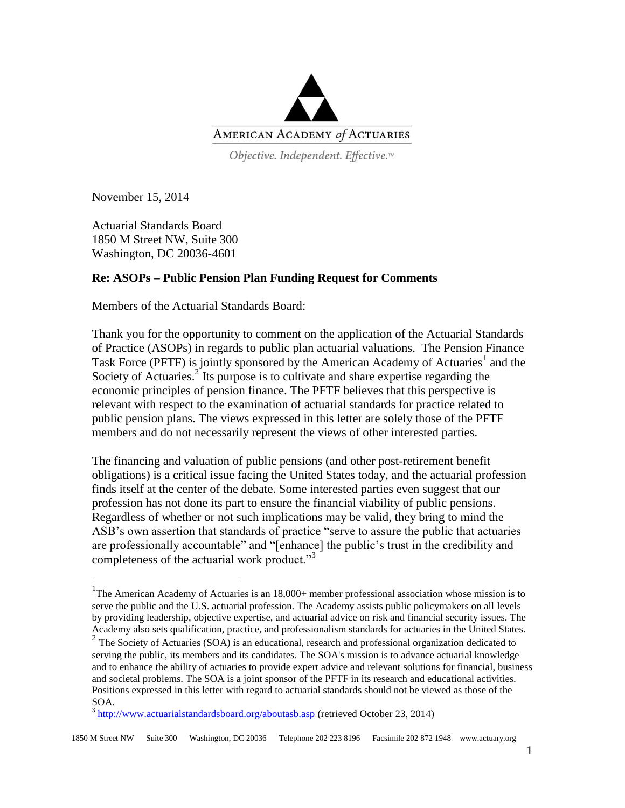

Objective. Independent. Effective.™

November 15, 2014

 $\overline{a}$ 

Actuarial Standards Board 1850 M Street NW, Suite 300 Washington, DC 20036-4601

## **Re: ASOPs – Public Pension Plan Funding Request for Comments**

Members of the Actuarial Standards Board:

Thank you for the opportunity to comment on the application of the Actuarial Standards of Practice (ASOPs) in regards to public plan actuarial valuations. The Pension Finance Task Force (PFTF) is jointly sponsored by the American Academy of Actuaries<sup>1</sup> and the Society of Actuaries. $2^{2}$  Its purpose is to cultivate and share expertise regarding the economic principles of pension finance. The PFTF believes that this perspective is relevant with respect to the examination of actuarial standards for practice related to public pension plans. The views expressed in this letter are solely those of the PFTF members and do not necessarily represent the views of other interested parties.

The financing and valuation of public pensions (and other post-retirement benefit obligations) is a critical issue facing the United States today, and the actuarial profession finds itself at the center of the debate. Some interested parties even suggest that our profession has not done its part to ensure the financial viability of public pensions. Regardless of whether or not such implications may be valid, they bring to mind the ASB's own assertion that standards of practice "serve to assure the public that actuaries are professionally accountable" and "[enhance] the public's trust in the credibility and completeness of the actuarial work product."<sup>3</sup>

<sup>&</sup>lt;sup>1</sup>The American Academy of Actuaries is an 18,000+ member professional association whose mission is to serve the public and the U.S. actuarial profession. The Academy assists public policymakers on all levels by providing leadership, objective expertise, and actuarial advice on risk and financial security issues. The Academy also sets qualification, practice, and professionalism standards for actuaries in the United States.

<sup>&</sup>lt;sup>2</sup> The Society of Actuaries (SOA) is an educational, research and professional organization dedicated to serving the public, its members and its candidates. The SOA's mission is to advance actuarial knowledge and to enhance the ability of actuaries to provide expert advice and relevant solutions for financial, business and societal problems. The SOA is a joint sponsor of the PFTF in its research and educational activities. Positions expressed in this letter with regard to actuarial standards should not be viewed as those of the SOA.

<sup>&</sup>lt;sup>3</sup> <http://www.actuarialstandardsboard.org/aboutasb.asp> (retrieved October 23, 2014)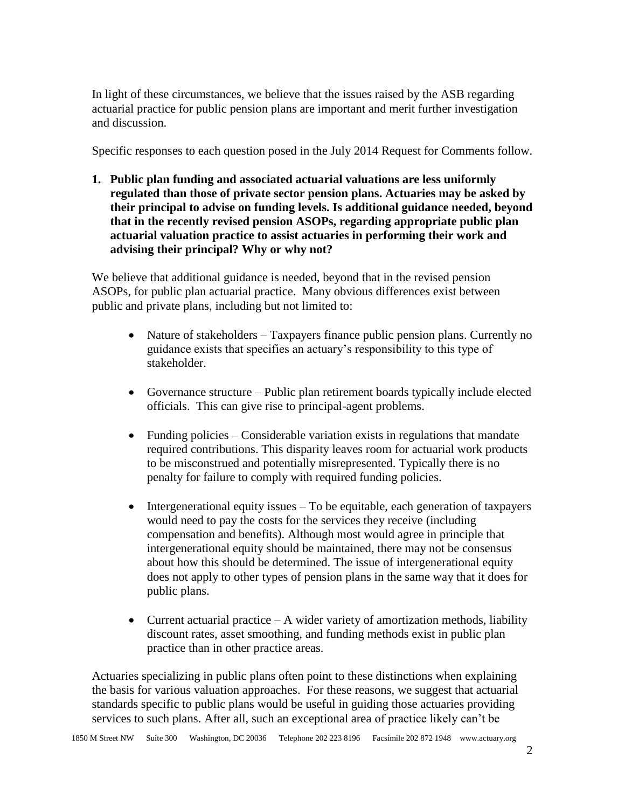In light of these circumstances, we believe that the issues raised by the ASB regarding actuarial practice for public pension plans are important and merit further investigation and discussion.

Specific responses to each question posed in the July 2014 Request for Comments follow.

**1. Public plan funding and associated actuarial valuations are less uniformly regulated than those of private sector pension plans. Actuaries may be asked by their principal to advise on funding levels. Is additional guidance needed, beyond that in the recently revised pension ASOPs, regarding appropriate public plan actuarial valuation practice to assist actuaries in performing their work and advising their principal? Why or why not?** 

We believe that additional guidance is needed, beyond that in the revised pension ASOPs, for public plan actuarial practice. Many obvious differences exist between public and private plans, including but not limited to:

- Nature of stakeholders Taxpayers finance public pension plans. Currently no guidance exists that specifies an actuary's responsibility to this type of stakeholder.
- Governance structure Public plan retirement boards typically include elected officials. This can give rise to principal-agent problems.
- Funding policies Considerable variation exists in regulations that mandate required contributions. This disparity leaves room for actuarial work products to be misconstrued and potentially misrepresented. Typically there is no penalty for failure to comply with required funding policies.
- Intergenerational equity issues To be equitable, each generation of taxpayers would need to pay the costs for the services they receive (including compensation and benefits). Although most would agree in principle that intergenerational equity should be maintained, there may not be consensus about how this should be determined. The issue of intergenerational equity does not apply to other types of pension plans in the same way that it does for public plans.
- Current actuarial practice  $A$  wider variety of amortization methods, liability discount rates, asset smoothing, and funding methods exist in public plan practice than in other practice areas.

Actuaries specializing in public plans often point to these distinctions when explaining the basis for various valuation approaches. For these reasons, we suggest that actuarial standards specific to public plans would be useful in guiding those actuaries providing services to such plans. After all, such an exceptional area of practice likely can't be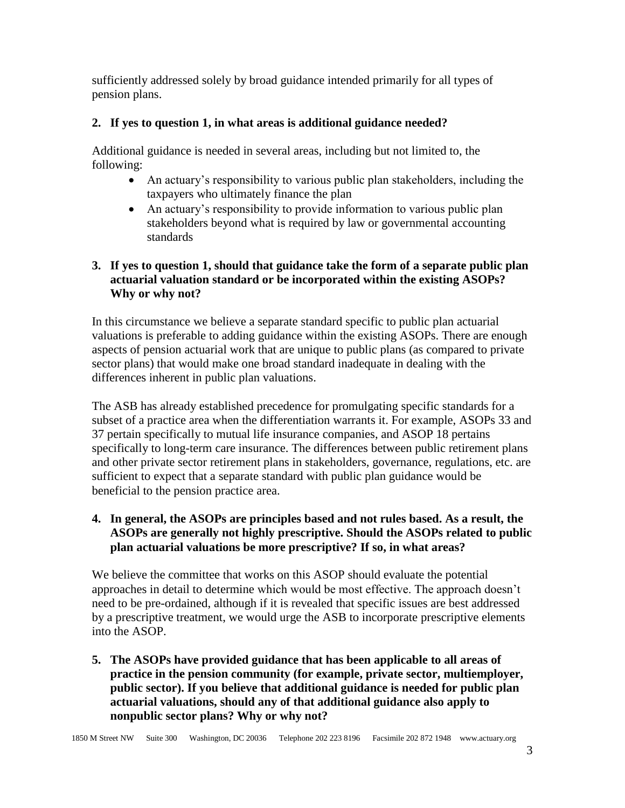sufficiently addressed solely by broad guidance intended primarily for all types of pension plans.

## **2. If yes to question 1, in what areas is additional guidance needed?**

Additional guidance is needed in several areas, including but not limited to, the following:

- An actuary's responsibility to various public plan stakeholders, including the taxpayers who ultimately finance the plan
- An actuary's responsibility to provide information to various public plan stakeholders beyond what is required by law or governmental accounting standards

## **3. If yes to question 1, should that guidance take the form of a separate public plan actuarial valuation standard or be incorporated within the existing ASOPs? Why or why not?**

In this circumstance we believe a separate standard specific to public plan actuarial valuations is preferable to adding guidance within the existing ASOPs. There are enough aspects of pension actuarial work that are unique to public plans (as compared to private sector plans) that would make one broad standard inadequate in dealing with the differences inherent in public plan valuations.

The ASB has already established precedence for promulgating specific standards for a subset of a practice area when the differentiation warrants it. For example, ASOPs 33 and 37 pertain specifically to mutual life insurance companies, and ASOP 18 pertains specifically to long-term care insurance. The differences between public retirement plans and other private sector retirement plans in stakeholders, governance, regulations, etc. are sufficient to expect that a separate standard with public plan guidance would be beneficial to the pension practice area.

## **4. In general, the ASOPs are principles based and not rules based. As a result, the ASOPs are generally not highly prescriptive. Should the ASOPs related to public plan actuarial valuations be more prescriptive? If so, in what areas?**

We believe the committee that works on this ASOP should evaluate the potential approaches in detail to determine which would be most effective. The approach doesn't need to be pre-ordained, although if it is revealed that specific issues are best addressed by a prescriptive treatment, we would urge the ASB to incorporate prescriptive elements into the ASOP.

**5. The ASOPs have provided guidance that has been applicable to all areas of practice in the pension community (for example, private sector, multiemployer, public sector). If you believe that additional guidance is needed for public plan actuarial valuations, should any of that additional guidance also apply to nonpublic sector plans? Why or why not?**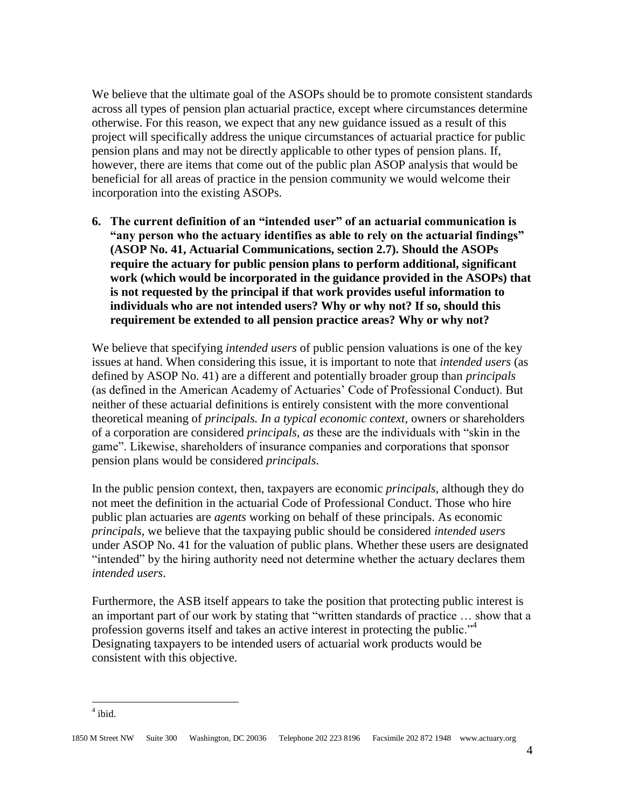We believe that the ultimate goal of the ASOPs should be to promote consistent standards across all types of pension plan actuarial practice, except where circumstances determine otherwise. For this reason, we expect that any new guidance issued as a result of this project will specifically address the unique circumstances of actuarial practice for public pension plans and may not be directly applicable to other types of pension plans. If, however, there are items that come out of the public plan ASOP analysis that would be beneficial for all areas of practice in the pension community we would welcome their incorporation into the existing ASOPs.

**6. The current definition of an "intended user" of an actuarial communication is "any person who the actuary identifies as able to rely on the actuarial findings" (ASOP No. 41, Actuarial Communications, section 2.7). Should the ASOPs require the actuary for public pension plans to perform additional, significant work (which would be incorporated in the guidance provided in the ASOPs) that is not requested by the principal if that work provides useful information to individuals who are not intended users? Why or why not? If so, should this requirement be extended to all pension practice areas? Why or why not?** 

We believe that specifying *intended users* of public pension valuations is one of the key issues at hand. When considering this issue, it is important to note that *intended users* (as defined by ASOP No. 41) are a different and potentially broader group than *principals* (as defined in the American Academy of Actuaries' Code of Professional Conduct). But neither of these actuarial definitions is entirely consistent with the more conventional theoretical meaning of *principals. In a typical economic context,* owners or shareholders of a corporation are considered *principals, as* these are the individuals with "skin in the game". Likewise, shareholders of insurance companies and corporations that sponsor pension plans would be considered *principals*.

In the public pension context, then, taxpayers are economic *principals,* although they do not meet the definition in the actuarial Code of Professional Conduct. Those who hire public plan actuaries are *agents* working on behalf of these principals. As economic *principals*, we believe that the taxpaying public should be considered *intended users* under ASOP No. 41 for the valuation of public plans. Whether these users are designated "intended" by the hiring authority need not determine whether the actuary declares them *intended users*.

Furthermore, the ASB itself appears to take the position that protecting public interest is an important part of our work by stating that "written standards of practice … show that a profession governs itself and takes an active interest in protecting the public."<sup>4</sup> Designating taxpayers to be intended users of actuarial work products would be consistent with this objective.

 $\overline{a}$ 

<sup>4</sup> ibid.